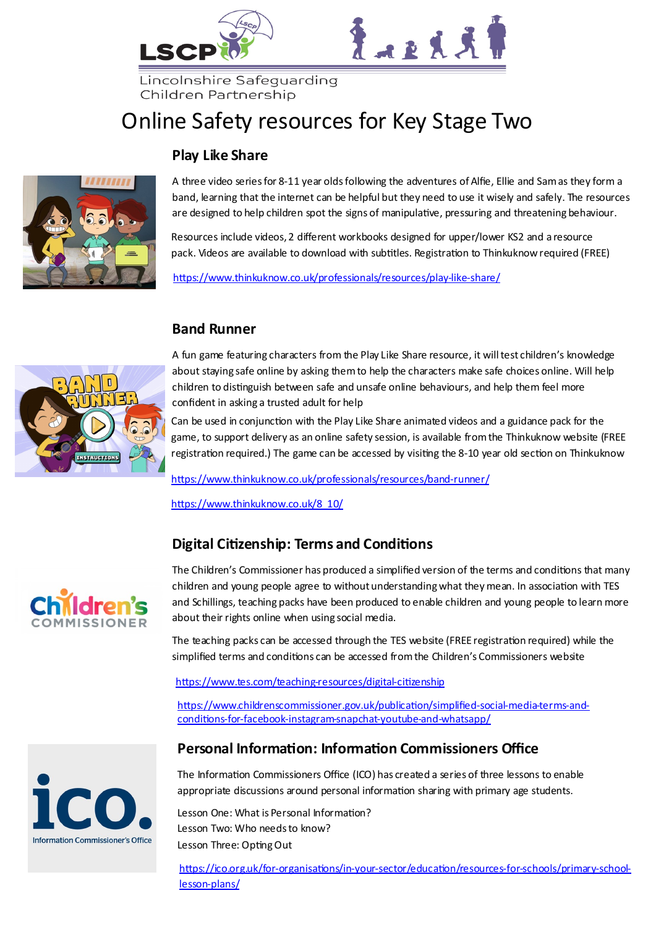



Lincolnshire Safeguarding Children Partnership

# Online Safety resources for Key Stage Two

### **Play Like Share**



A three video series for 8-11 year olds following the adventures of Alfie, Ellie and Sam as they form a band, learning that the internet can be helpful but they need to use it wisely and safely. The resources are designed to help children spot the signs of manipulative, pressuring and threatening behaviour.

Resources include videos, 2 different workbooks designed for upper/lower KS2 and a resource pack. Videos are available to download with subtitles. Registration to Thinkuknow required (FREE)

[https://www.thinkuknow.co.uk/professionals/resources/play](https://www.thinkuknow.co.uk/professionals/resources/play-like-share/)-like-share/

### **Band Runner**



Can be used in conjunction with the Play Like Share animated videos and a guidance pack for the game, to support delivery as an online safety session, is available from the Thinkuknow website (FREE registration required.) The game can be accessed by visiting the 8-10 year old section on Thinkuknow

[https://www.thinkuknow.co.uk/professionals/resources/band](https://www.thinkuknow.co.uk/professionals/resources/band-runner/)-runner/

[https://www.thinkuknow.co.uk/8\\_10/](https://www.thinkuknow.co.uk/8_10/)

### **Digital Citizenship: Terms and Conditions**



The Children's Commissioner has produced a simplified version of the terms and conditions that many children and young people agree to without understanding what they mean. In association with TES and Schillings, teaching packs have been produced to enable children and young people to learn more about their rights online when using social media.

The teaching packs can be accessed through the TES website (FREE registration required) while the simplified terms and conditions can be accessed from the Children's Commissioners website

[https://www.tes.com/teaching](https://www.tes.com/teaching-resources/digital-citizenship)-resources/digital-citizenship

[https://www.childrenscommissioner.gov.uk/publication/simplified](https://www.childrenscommissioner.gov.uk/publication/simplified-social-media-terms-and-conditions-for-facebook-instagram-snapchat-youtube-and-whatsapp/)-social-media-terms-andconditions-for-facebook-instagram-snapchat-youtube-and-[whatsapp/](https://www.childrenscommissioner.gov.uk/publication/simplified-social-media-terms-and-conditions-for-facebook-instagram-snapchat-youtube-and-whatsapp/)

### **Personal Information: Information Commissioners Office**



The Information Commissioners Office (ICO) has created a series of three lessons to enable appropriate discussions around personal information sharing with primary age students.

Lesson One: What is Personal Information? Lesson Two: Who needs to know? Lesson Three: Opting Out

https://ico.org.uk/for-organisations/in-your-sector/education/resources-for-schools/primary-schoollesson-plans/